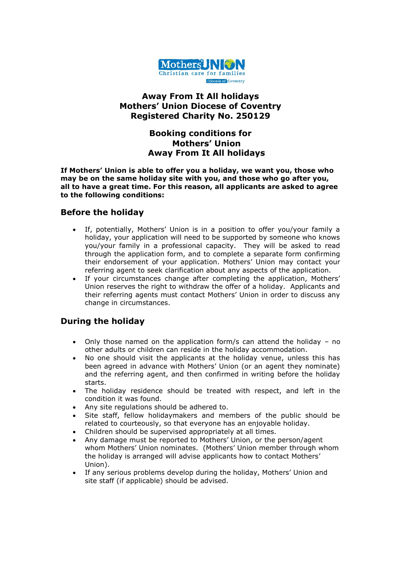

### **Away From It All holidays Mothers' Union Diocese of Coventry Registered Charity No. 250129**

# **Booking conditions for Mothers' Union Away From It All holidays**

**If Mothers' Union is able to offer you a holiday, we want you, those who may be on the same holiday site with you, and those who go after you, all to have a great time. For this reason, all applicants are asked to agree to the following conditions:**

### **Before the holiday**

- If, potentially, Mothers' Union is in a position to offer you/your family a holiday, your application will need to be supported by someone who knows you/your family in a professional capacity. They will be asked to read through the application form, and to complete a separate form confirming their endorsement of your application. Mothers' Union may contact your referring agent to seek clarification about any aspects of the application.
- If your circumstances change after completing the application, Mothers' Union reserves the right to withdraw the offer of a holiday. Applicants and their referring agents must contact Mothers' Union in order to discuss any change in circumstances.

# **During the holiday**

- Only those named on the application form/s can attend the holiday no other adults or children can reside in the holiday accommodation.
- No one should visit the applicants at the holiday venue, unless this has been agreed in advance with Mothers' Union (or an agent they nominate) and the referring agent, and then confirmed in writing before the holiday starts.
- The holiday residence should be treated with respect, and left in the condition it was found.
- Any site regulations should be adhered to.
- Site staff, fellow holidaymakers and members of the public should be related to courteously, so that everyone has an enjoyable holiday.
- Children should be supervised appropriately at all times.
- Any damage must be reported to Mothers' Union, or the person/agent whom Mothers' Union nominates. (Mothers' Union member through whom the holiday is arranged will advise applicants how to contact Mothers' Union).
- If any serious problems develop during the holiday, Mothers' Union and site staff (if applicable) should be advised.